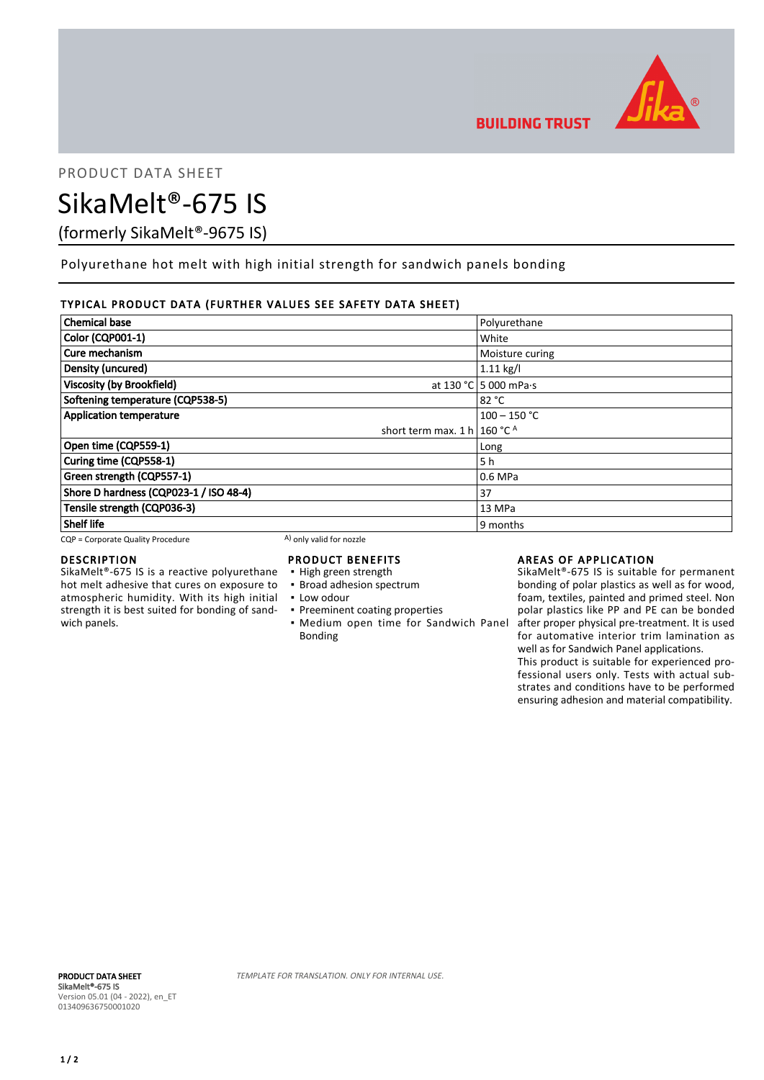

PRODUCT DATA SHEET

# SikaMelt®-675 IS

(formerly SikaMelt®-9675 IS)

Polyurethane hot melt with high initial strength for sandwich panels bonding

## TYPICAL PRODUCT DATA (FURTHER VALUES SEE SAFETY DATA SHEET)

| <b>Chemical base</b>                    | Polyurethane                  |
|-----------------------------------------|-------------------------------|
| <b>Color (CQP001-1)</b>                 | White                         |
| Cure mechanism                          | Moisture curing               |
| Density (uncured)                       | $1.11$ kg/l                   |
| <b>Viscosity (by Brookfield)</b>        | at 130 °C 5 000 mPa $\cdot$ s |
| Softening temperature (CQP538-5)        | 82 °C                         |
| <b>Application temperature</b>          | $100 - 150 °C$                |
| short term max. 1 h   160 °C $^{\circ}$ |                               |
| Open time (CQP559-1)                    | Long                          |
| Curing time (CQP558-1)                  | 5 h                           |
| Green strength (CQP557-1)               | 0.6 MPa                       |
| Shore D hardness (CQP023-1 / ISO 48-4)  | 37                            |
| Tensile strength (CQP036-3)             | 13 MPa                        |
| <b>Shelf life</b>                       | 9 months                      |

 $CQP =$  Corporate Quality Procedure  $(A)$  only valid for nozzle

### DESCRIPTION

SikaMelt®-675 IS is a reactive polyurethane hot melt adhesive that cures on exposure to atmospheric humidity. With its high initial strength it is best suited for bonding of sandwich panels.

# PRODUCT BENEFITS

- High green strength
- **· Broad adhesion spectrum**
- Low odour
- **Preeminent coating properties • Medium open time for Sandwich Panel** Bonding

## AREAS OF APPLICATION

SikaMelt®-675 IS is suitable for permanent bonding of polar plastics as well as for wood, foam, textiles, painted and primed steel. Non polar plastics like PP and PE can be bonded after proper physical pre-treatment. It is used for automative interior trim lamination as well as for Sandwich Panel applications.

This product is suitable for experienced professional users only. Tests with actual substrates and conditions have to be performed ensuring adhesion and material compatibility.